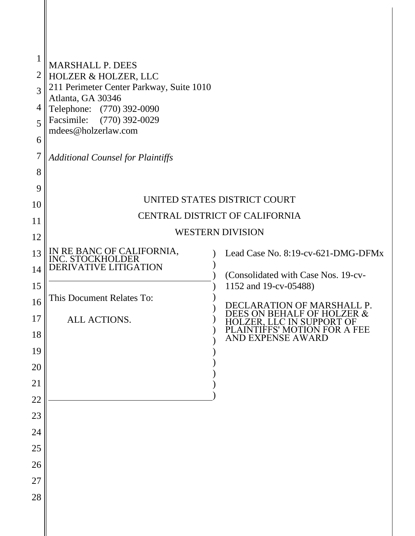| $\mathbf 1$<br>$\overline{2}$<br>3<br>4<br>5<br>6<br>7<br>8<br>9 | MARSHALL P. DEES<br><b>HOLZER &amp; HOLZER, LLC</b><br>211 Perimeter Center Parkway, Suite 1010<br>Atlanta, GA 30346<br>Telephone: (770) 392-0090<br>Facsimile: (770) 392-0029<br>mdees@holzerlaw.com<br><b>Additional Counsel for Plaintiffs</b> |  |                                                                                                                                                                                   |  |  |
|------------------------------------------------------------------|---------------------------------------------------------------------------------------------------------------------------------------------------------------------------------------------------------------------------------------------------|--|-----------------------------------------------------------------------------------------------------------------------------------------------------------------------------------|--|--|
|                                                                  |                                                                                                                                                                                                                                                   |  | UNITED STATES DISTRICT COURT                                                                                                                                                      |  |  |
| 10<br>11                                                         | CENTRAL DISTRICT OF CALIFORNIA                                                                                                                                                                                                                    |  |                                                                                                                                                                                   |  |  |
| 12                                                               | <b>WESTERN DIVISION</b>                                                                                                                                                                                                                           |  |                                                                                                                                                                                   |  |  |
| 13<br>14<br>15<br>16<br>17                                       | IN RE BANC OF CALIFORNIA, INC. STOCKHOLDER<br>DERIVATIVE LITIGATION<br>This Document Relates To:<br>ALL ACTIONS.                                                                                                                                  |  | Lead Case No. 8:19-cv-621-DMG-DFMx<br>(Consolidated with Case Nos. 19-cv-<br>1152 and 19-cv-05488)<br>DECLARATION OF MARSHALL P.<br>EES ON BEHALF OF HOLZER &<br>LC IN SUPPORT OF |  |  |
| 18<br>19                                                         |                                                                                                                                                                                                                                                   |  | AINTIFFS' MOTION FOR A FEE<br>AND EXPENSE AWARD                                                                                                                                   |  |  |
| 20                                                               |                                                                                                                                                                                                                                                   |  |                                                                                                                                                                                   |  |  |
| 21                                                               |                                                                                                                                                                                                                                                   |  |                                                                                                                                                                                   |  |  |
| 22<br>23                                                         |                                                                                                                                                                                                                                                   |  |                                                                                                                                                                                   |  |  |
| 24                                                               |                                                                                                                                                                                                                                                   |  |                                                                                                                                                                                   |  |  |
| 25                                                               |                                                                                                                                                                                                                                                   |  |                                                                                                                                                                                   |  |  |
| 26                                                               |                                                                                                                                                                                                                                                   |  |                                                                                                                                                                                   |  |  |
| $27\,$                                                           |                                                                                                                                                                                                                                                   |  |                                                                                                                                                                                   |  |  |
| 28                                                               |                                                                                                                                                                                                                                                   |  |                                                                                                                                                                                   |  |  |
|                                                                  |                                                                                                                                                                                                                                                   |  |                                                                                                                                                                                   |  |  |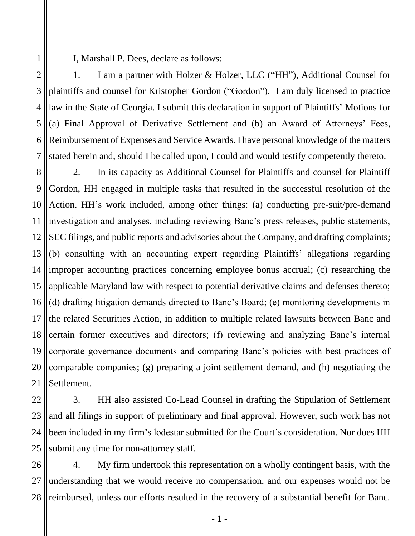I, Marshall P. Dees, declare as follows:

1

2 3 4 5 6 7 1. I am a partner with Holzer & Holzer, LLC ("HH"), Additional Counsel for plaintiffs and counsel for Kristopher Gordon ("Gordon"). I am duly licensed to practice law in the State of Georgia. I submit this declaration in support of Plaintiffs' Motions for (a) Final Approval of Derivative Settlement and (b) an Award of Attorneys' Fees, Reimbursement of Expenses and Service Awards. I have personal knowledge of the matters stated herein and, should I be called upon, I could and would testify competently thereto.

8 9 10 11 12 13 14 15 16 17 18 19 20 21 2. In its capacity as Additional Counsel for Plaintiffs and counsel for Plaintiff Gordon, HH engaged in multiple tasks that resulted in the successful resolution of the Action. HH's work included, among other things: (a) conducting pre-suit/pre-demand investigation and analyses, including reviewing Banc's press releases, public statements, SEC filings, and public reports and advisories about the Company, and drafting complaints; (b) consulting with an accounting expert regarding Plaintiffs' allegations regarding improper accounting practices concerning employee bonus accrual; (c) researching the applicable Maryland law with respect to potential derivative claims and defenses thereto; (d) drafting litigation demands directed to Banc's Board; (e) monitoring developments in the related Securities Action, in addition to multiple related lawsuits between Banc and certain former executives and directors; (f) reviewing and analyzing Banc's internal corporate governance documents and comparing Banc's policies with best practices of comparable companies; (g) preparing a joint settlement demand, and (h) negotiating the Settlement.

22 23 24 25 3. HH also assisted Co-Lead Counsel in drafting the Stipulation of Settlement and all filings in support of preliminary and final approval. However, such work has not been included in my firm's lodestar submitted for the Court's consideration. Nor does HH submit any time for non-attorney staff.

26 27 28 4. My firm undertook this representation on a wholly contingent basis, with the understanding that we would receive no compensation, and our expenses would not be reimbursed, unless our efforts resulted in the recovery of a substantial benefit for Banc.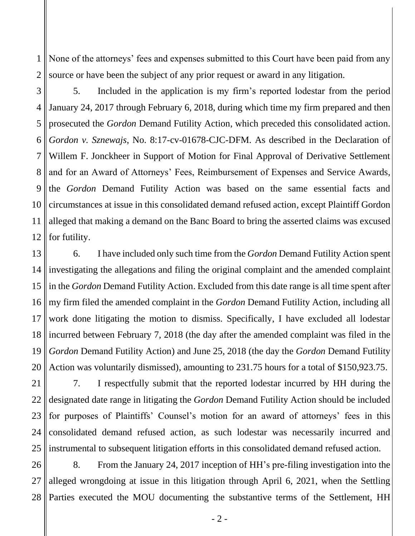1 2 None of the attorneys' fees and expenses submitted to this Court have been paid from any source or have been the subject of any prior request or award in any litigation.

3 4 5 6 7 8 9 10 11 12 5. Included in the application is my firm's reported lodestar from the period January 24, 2017 through February 6, 2018, during which time my firm prepared and then prosecuted the *Gordon* Demand Futility Action, which preceded this consolidated action. *Gordon v. Sznewajs*, No. 8:17-cv-01678-CJC-DFM. As described in the Declaration of Willem F. Jonckheer in Support of Motion for Final Approval of Derivative Settlement and for an Award of Attorneys' Fees, Reimbursement of Expenses and Service Awards, the *Gordon* Demand Futility Action was based on the same essential facts and circumstances at issue in this consolidated demand refused action, except Plaintiff Gordon alleged that making a demand on the Banc Board to bring the asserted claims was excused for futility.

13 14 15 16 17 18 19 20 6. I have included only such time from the *Gordon* Demand Futility Action spent investigating the allegations and filing the original complaint and the amended complaint in the *Gordon* Demand Futility Action. Excluded from this date range is all time spent after my firm filed the amended complaint in the *Gordon* Demand Futility Action, including all work done litigating the motion to dismiss. Specifically, I have excluded all lodestar incurred between February 7, 2018 (the day after the amended complaint was filed in the *Gordon* Demand Futility Action) and June 25, 2018 (the day the *Gordon* Demand Futility Action was voluntarily dismissed), amounting to 231.75 hours for a total of \$150,923.75.

21 22 23 24 25 7. I respectfully submit that the reported lodestar incurred by HH during the designated date range in litigating the *Gordon* Demand Futility Action should be included for purposes of Plaintiffs' Counsel's motion for an award of attorneys' fees in this consolidated demand refused action, as such lodestar was necessarily incurred and instrumental to subsequent litigation efforts in this consolidated demand refused action.

26 27 28 8. From the January 24, 2017 inception of HH's pre-filing investigation into the alleged wrongdoing at issue in this litigation through April 6, 2021, when the Settling Parties executed the MOU documenting the substantive terms of the Settlement, HH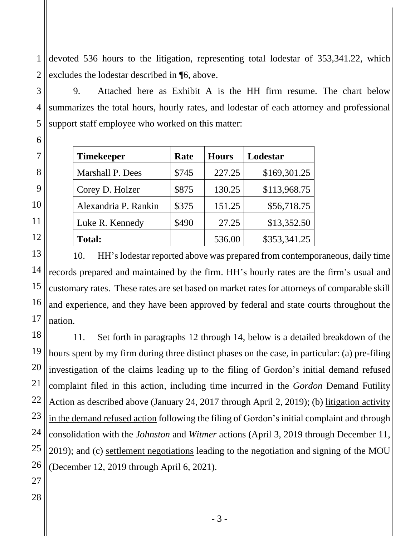1 2 devoted 536 hours to the litigation, representing total lodestar of 353,341.22, which excludes the lodestar described in ¶6, above.

9. Attached here as Exhibit A is the HH firm resume. The chart below summarizes the total hours, hourly rates, and lodestar of each attorney and professional support staff employee who worked on this matter:

| <b>Timekeeper</b>    | Rate  | <b>Hours</b> | Lodestar     |
|----------------------|-------|--------------|--------------|
| Marshall P. Dees     | \$745 | 227.25       | \$169,301.25 |
| Corey D. Holzer      | \$875 | 130.25       | \$113,968.75 |
| Alexandria P. Rankin | \$375 | 151.25       | \$56,718.75  |
| Luke R. Kennedy      | \$490 | 27.25        | \$13,352.50  |
| <b>Total:</b>        |       | 536.00       | \$353,341.25 |

10. HH'slodestar reported above was prepared from contemporaneous, daily time records prepared and maintained by the firm. HH's hourly rates are the firm's usual and customary rates. These rates are set based on market rates for attorneys of comparable skill and experience, and they have been approved by federal and state courts throughout the nation.

11. Set forth in paragraphs 12 through 14, below is a detailed breakdown of the hours spent by my firm during three distinct phases on the case, in particular: (a) pre-filing investigation of the claims leading up to the filing of Gordon's initial demand refused complaint filed in this action, including time incurred in the *Gordon* Demand Futility Action as described above (January 24, 2017 through April 2, 2019); (b) litigation activity in the demand refused action following the filing of Gordon's initial complaint and through consolidation with the *Johnston* and *Witmer* actions (April 3, 2019 through December 11, 2019); and (c) settlement negotiations leading to the negotiation and signing of the MOU (December 12, 2019 through April 6, 2021).

3

4

5

6

7

8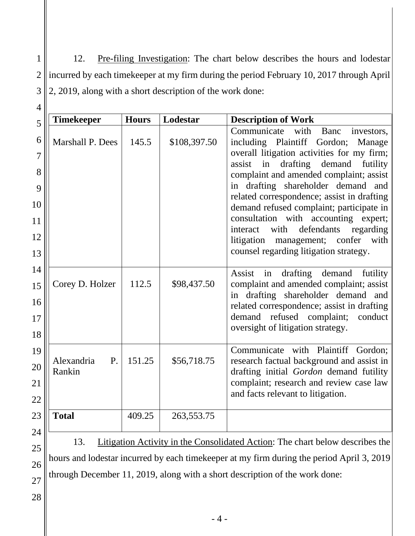1 2 3 12. Pre-filing Investigation: The chart below describes the hours and lodestar incurred by each timekeeper at my firm during the period February 10, 2017 through April 2, 2019, along with a short description of the work done:

| <b>Timekeeper</b>          | <b>Hours</b> | Lodestar     | <b>Description of Work</b>                                                                                                                                                                                                                                                                                                                                                                                                                                                                                                        |
|----------------------------|--------------|--------------|-----------------------------------------------------------------------------------------------------------------------------------------------------------------------------------------------------------------------------------------------------------------------------------------------------------------------------------------------------------------------------------------------------------------------------------------------------------------------------------------------------------------------------------|
| Marshall P. Dees           | 145.5        | \$108,397.50 | Communicate<br>with<br>Banc<br>investors,<br>including Plaintiff Gordon;<br>Manage<br>overall litigation activities for my firm;<br>drafting demand futility<br>assist<br>in<br>complaint and amended complaint; assist<br>in drafting shareholder demand and<br>related correspondence; assist in drafting<br>demand refused complaint; participate in<br>consultation with accounting expert;<br>defendants<br>regarding<br>with<br>interact<br>litigation management; confer<br>with<br>counsel regarding litigation strategy. |
| Corey D. Holzer            | 112.5        | \$98,437.50  | drafting<br>demand<br>Assist<br>in<br>futility<br>complaint and amended complaint; assist<br>in drafting shareholder demand and<br>related correspondence; assist in drafting<br>demand refused complaint;<br>conduct<br>oversight of litigation strategy.                                                                                                                                                                                                                                                                        |
| Alexandria<br>P.<br>Rankin | 151.25       | \$56,718.75  | Communicate with Plaintiff Gordon;<br>research factual background and assist in<br>drafting initial Gordon demand futility<br>complaint; research and review case law<br>and facts relevant to litigation.                                                                                                                                                                                                                                                                                                                        |
| <b>Total</b>               | 409.25       | 263, 553. 75 |                                                                                                                                                                                                                                                                                                                                                                                                                                                                                                                                   |

13. Litigation Activity in the Consolidated Action: The chart below describes the hours and lodestar incurred by each timekeeper at my firm during the period April 3, 2019 through December 11, 2019, along with a short description of the work done:

28

25

26

27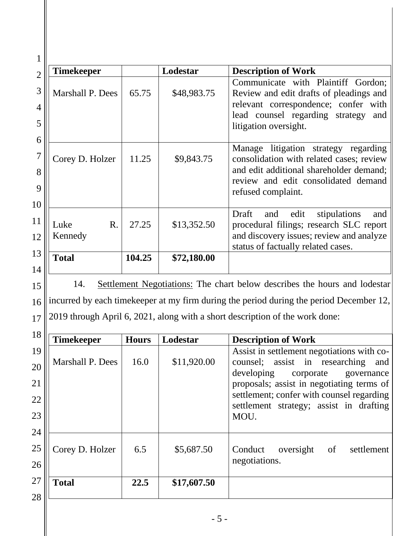| $\overline{2}$   | <b>Timekeeper</b>                 |        | Lodestar    | <b>Description of Work</b>                                                                                                                                                                  |
|------------------|-----------------------------------|--------|-------------|---------------------------------------------------------------------------------------------------------------------------------------------------------------------------------------------|
| 3<br>4<br>5<br>6 | <b>Marshall P. Dees</b>           | 65.75  | \$48,983.75 | Communicate with Plaintiff Gordon;<br>Review and edit drafts of pleadings and<br>relevant correspondence; confer with<br>lead counsel regarding strategy<br>and<br>litigation oversight.    |
| 8<br>9<br>10     | Corey D. Holzer                   | 11.25  | \$9,843.75  | litigation strategy regarding<br>Manage<br>consolidation with related cases; review<br>and edit additional shareholder demand;<br>review and edit consolidated demand<br>refused complaint. |
| 11<br>12         | $\mathbf{R}$ .<br>Luke<br>Kennedy | 27.25  | \$13,352.50 | Draft<br>edit<br>stipulations<br>and<br>and<br>procedural filings; research SLC report<br>and discovery issues; review and analyze<br>status of factually related cases.                    |
| 13<br>14         | <b>Total</b>                      | 104.25 | \$72,180.00 |                                                                                                                                                                                             |

15 16 17 14. Settlement Negotiations: The chart below describes the hours and lodestar incurred by each timekeeper at my firm during the period during the period December 12, 2019 through April 6, 2021, along with a short description of the work done:

| 18       |                   |              |             |                                                                                                                              |
|----------|-------------------|--------------|-------------|------------------------------------------------------------------------------------------------------------------------------|
|          | <b>Timekeeper</b> | <b>Hours</b> | Lodestar    | <b>Description of Work</b>                                                                                                   |
| 19<br>20 | Marshall P. Dees  | 16.0         | \$11,920.00 | Assist in settlement negotiations with co-<br>counsel; assist in researching<br>and<br>developing<br>corporate<br>governance |
| 21       |                   |              |             | proposals; assist in negotiating terms of                                                                                    |
| 22       |                   |              |             | settlement; confer with counsel regarding<br>settlement strategy; assist in drafting                                         |
| 23       |                   |              |             | MOU.                                                                                                                         |
| 24       |                   |              |             |                                                                                                                              |
| 25       | Corey D. Holzer   | 6.5          | \$5,687.50  | Conduct<br>oversight<br>of<br>settlement                                                                                     |
| 26       |                   |              |             | negotiations.                                                                                                                |
| 27       | <b>Total</b>      | 22.5         | \$17,607.50 |                                                                                                                              |
| 28       |                   |              |             |                                                                                                                              |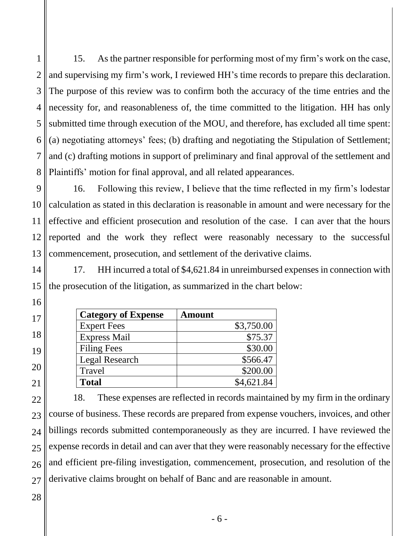1 2 3 4 5 6 7 8 15. As the partner responsible for performing most of my firm's work on the case, and supervising my firm's work, I reviewed HH's time records to prepare this declaration. The purpose of this review was to confirm both the accuracy of the time entries and the necessity for, and reasonableness of, the time committed to the litigation. HH has only submitted time through execution of the MOU, and therefore, has excluded all time spent: (a) negotiating attorneys' fees; (b) drafting and negotiating the Stipulation of Settlement; and (c) drafting motions in support of preliminary and final approval of the settlement and Plaintiffs' motion for final approval, and all related appearances.

9 10 11 12 13 16. Following this review, I believe that the time reflected in my firm's lodestar calculation as stated in this declaration is reasonable in amount and were necessary for the effective and efficient prosecution and resolution of the case. I can aver that the hours reported and the work they reflect were reasonably necessary to the successful commencement, prosecution, and settlement of the derivative claims.

14 15 17. HH incurred a total of \$4,621.84 in unreimbursed expenses in connection with the prosecution of the litigation, as summarized in the chart below:

| <b>Category of Expense</b> | <b>Amount</b> |
|----------------------------|---------------|
| <b>Expert Fees</b>         | \$3,750.00    |
| <b>Express Mail</b>        | \$75.37       |
| <b>Filing Fees</b>         | \$30.00       |
| Legal Research             | \$566.47      |
| Travel                     | \$200.00      |
| <b>Total</b>               | \$4,621.84    |

22 23 24 25 26 27 18. These expenses are reflected in records maintained by my firm in the ordinary course of business. These records are prepared from expense vouchers, invoices, and other billings records submitted contemporaneously as they are incurred. I have reviewed the expense records in detail and can aver that they were reasonably necessary for the effective and efficient pre-filing investigation, commencement, prosecution, and resolution of the derivative claims brought on behalf of Banc and are reasonable in amount.

28

16

17

18

19

20

21